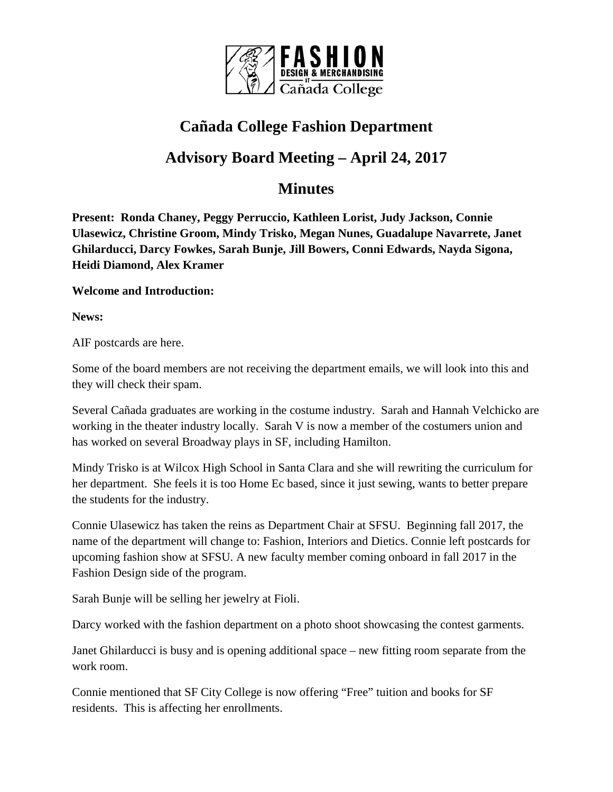

## **Cañada College Fashion Department**

# **Advisory Board Meeting – April 24, 2017**

### **Minutes**

**Present: Ronda Chaney, Peggy Perruccio, Kathleen Lorist, Judy Jackson, Connie Ulasewicz, Christine Groom, Mindy Trisko, Megan Nunes, Guadalupe Navarrete, Janet Ghilarducci, Darcy Fowkes, Sarah Bunje, Jill Bowers, Conni Edwards, Nayda Sigona, Heidi Diamond, Alex Kramer**

#### **Welcome and Introduction:**

**News:**

AIF postcards are here.

Some of the board members are not receiving the department emails, we will look into this and they will check their spam.

Several Cañada graduates are working in the costume industry. Sarah and Hannah Velchicko are working in the theater industry locally. Sarah V is now a member of the costumers union and has worked on several Broadway plays in SF, including Hamilton.

Mindy Trisko is at Wilcox High School in Santa Clara and she will rewriting the curriculum for her department. She feels it is too Home Ec based, since it just sewing, wants to better prepare the students for the industry.

Connie Ulasewicz has taken the reins as Department Chair at SFSU. Beginning fall 2017, the name of the department will change to: Fashion, Interiors and Dietics. Connie left postcards for upcoming fashion show at SFSU. A new faculty member coming onboard in fall 2017 in the Fashion Design side of the program.

Sarah Bunje will be selling her jewelry at Fioli.

Darcy worked with the fashion department on a photo shoot showcasing the contest garments.

Janet Ghilarducci is busy and is opening additional space – new fitting room separate from the work room.

Connie mentioned that SF City College is now offering "Free" tuition and books for SF residents. This is affecting her enrollments.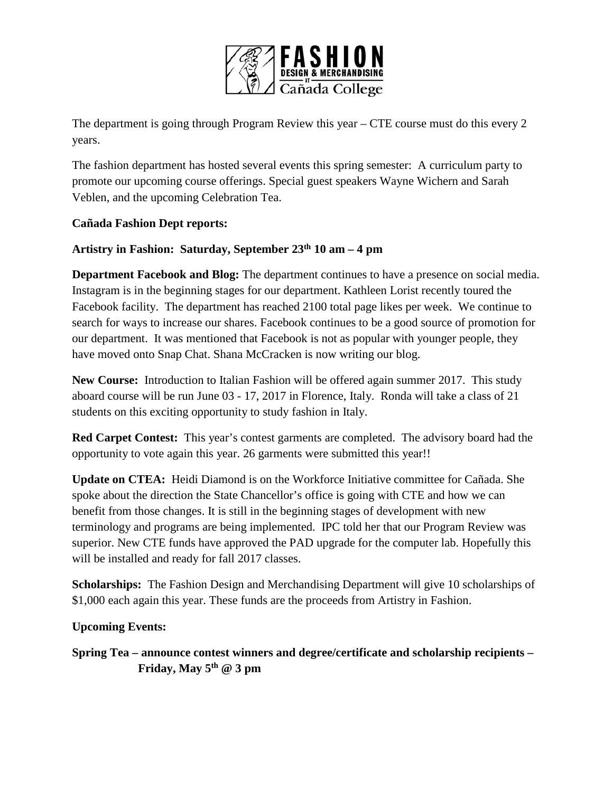

The department is going through Program Review this year – CTE course must do this every 2 years.

The fashion department has hosted several events this spring semester: A curriculum party to promote our upcoming course offerings. Special guest speakers Wayne Wichern and Sarah Veblen, and the upcoming Celebration Tea.

#### **Cañada Fashion Dept reports:**

#### **Artistry in Fashion: Saturday, September 23th 10 am – 4 pm**

**Department Facebook and Blog:** The department continues to have a presence on social media. Instagram is in the beginning stages for our department. Kathleen Lorist recently toured the Facebook facility. The department has reached 2100 total page likes per week. We continue to search for ways to increase our shares. Facebook continues to be a good source of promotion for our department. It was mentioned that Facebook is not as popular with younger people, they have moved onto Snap Chat. Shana McCracken is now writing our blog.

**New Course:** Introduction to Italian Fashion will be offered again summer 2017. This study aboard course will be run June 03 - 17, 2017 in Florence, Italy. Ronda will take a class of 21 students on this exciting opportunity to study fashion in Italy.

**Red Carpet Contest:** This year's contest garments are completed. The advisory board had the opportunity to vote again this year. 26 garments were submitted this year!!

**Update on CTEA:** Heidi Diamond is on the Workforce Initiative committee for Cañada. She spoke about the direction the State Chancellor's office is going with CTE and how we can benefit from those changes. It is still in the beginning stages of development with new terminology and programs are being implemented. IPC told her that our Program Review was superior. New CTE funds have approved the PAD upgrade for the computer lab. Hopefully this will be installed and ready for fall 2017 classes.

**Scholarships:** The Fashion Design and Merchandising Department will give 10 scholarships of \$1,000 each again this year. These funds are the proceeds from Artistry in Fashion.

**Upcoming Events:**

**Spring Tea – announce contest winners and degree/certificate and scholarship recipients – Friday, May 5th @ 3 pm**